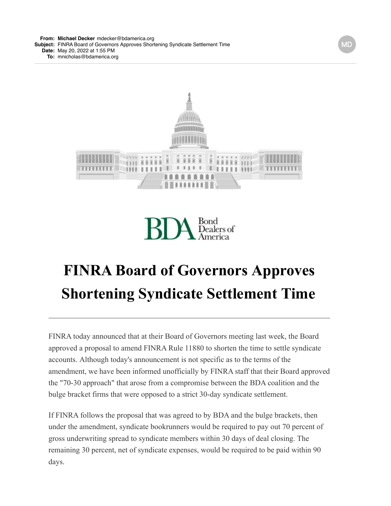**From: Michael [Decker](mailto:Deckermdecker@bdamerica.org)** [mdecker@bdamerica.org](mailto:Deckermdecker@bdamerica.org) **Subject:** FINRA Board of Governors Approves Shortening Syndicate Settlement Time **Date:** May 20, 2022 at 1:55 PM **To:** [mnicholas@bdamerica.org](mailto:mnicholas@bdamerica.org)



Bond<br>Dealers of

## **FINRA Board of Governors Approves Shortening Syndicate Settlement Time**

FINRA today announced that at their Board of Governors meeting last week, the Board approved a proposal to amend FINRA Rule 11880 to shorten the time to settle syndicate accounts. Although today's announcement is not specific as to the terms of the amendment, we have been informed unofficially by FINRA staff that their Board approved the "70-30 approach" that arose from a compromise between the BDA coalition and the bulge bracket firms that were opposed to a strict 30-day syndicate settlement.

If FINRA follows the proposal that was agreed to by BDA and the bulge brackets, then under the amendment, syndicate bookrunners would be required to pay out 70 percent of gross underwriting spread to syndicate members within 30 days of deal closing. The remaining 30 percent, net of syndicate expenses, would be required to be paid within 90 days.